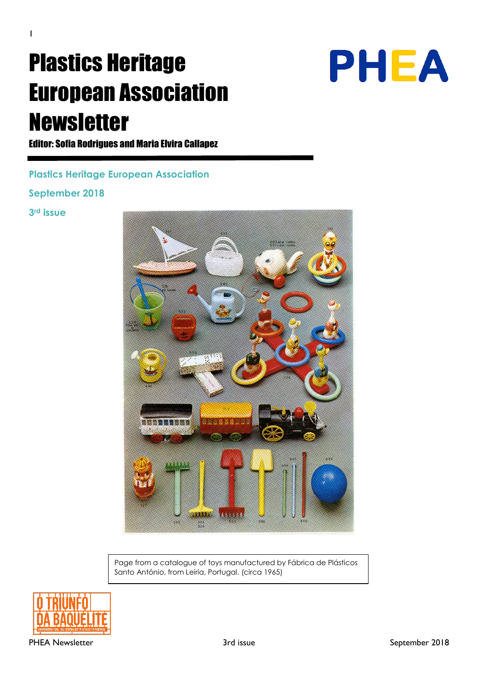# Plastics Heritage European Association Newsletter



Editor: Sofia Rodrigues and Maria Elvira Callapez

**Plastics Heritage European Association**

**September 2018**

**3rd issue**



Page from a catalogue of toys manufactured by Fábrica de Plásticos Santo António, from Leiria, Portugal. (circa 1965)

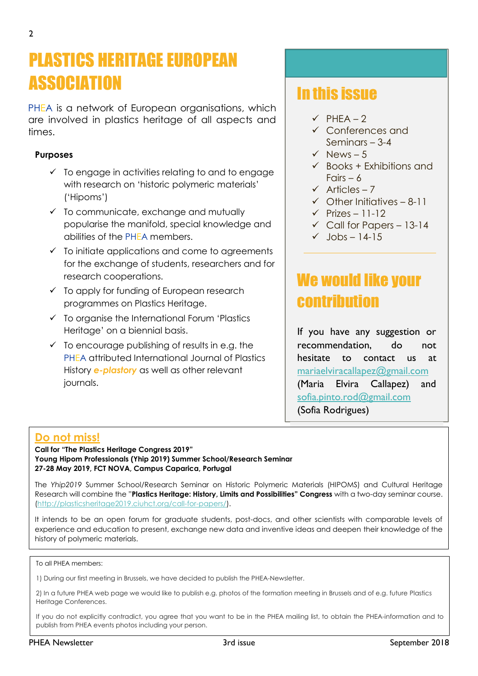# PLASTICS HERITAGE EUROPEAN ASSOCIATION **In this issue**

PHEA is a network of European organisations, which are involved in plastics heritage of all aspects and times.

#### **Purposes**

- $\checkmark$  To engage in activities relating to and to engage with research on 'historic polymeric materials' ('Hipoms')
- $\checkmark$  To communicate, exchange and mutually popularise the manifold, special knowledge and abilities of the PHEA members.
- $\checkmark$  To initiate applications and come to agreements for the exchange of students, researchers and for research cooperations.
- ✓ To apply for funding of European research programmes on Plastics Heritage.
- ✓ To organise the International Forum 'Plastics Heritage' on a biennial basis.
- $\checkmark$  To encourage publishing of results in e.g. the PHEA attributed International Journal of Plastics History *e-plastory* as well as other relevant journals.

- $\checkmark$  PHFA 2
- ✓ Conferences and Seminars – 3-4
- $\checkmark$  News 5
- $\checkmark$  Books + Exhibitions and Fairs  $-6$
- $\checkmark$  Articles 7
- $\checkmark$  Other Initiatives 8-11
- $\checkmark$  Prizes 11-12
- $\checkmark$  Call for Papers 13-14
- $\checkmark$  Jobs 14-15

## We would like your contribution

If you have any suggestion or recommendation, do not hesitate to contact us at [mariaelviracallapez@gmail.com](mailto:mariaelviracallapez@gmail.com) (Maria Elvira Callapez) and [sofia.pinto.rod@gmail.com](mailto:sofia.pinto.rod@gmail.com) (Sofia Rodrigues)

#### **Do not miss!**

**Call for "The Plastics Heritage Congress 2019" Young Hipom Professionals (Yhip 2019) Summer School/Research Seminar 27-28 May 2019, FCT NOVA, Campus Caparica, Portugal**

The *Yhip2019* Summer School/Research Seminar on Historic Polymeric Materials (HIPOMS) and Cultural Heritage Research will combine the "**Plastics Heritage: History, Limits and Possibilities" Congress** with a two-day seminar course. [\(http://plasticsheritage2019.ciuhct.org/call-for-papers/\)](http://plasticsheritage2019.ciuhct.org/call-for-papers/).

It intends to be an open forum for graduate students, post-docs, and other scientists with comparable levels of experience and education to present, exchange new data and inventive ideas and deepen their knowledge of the history of polymeric materials.

#### To all PHEA members:

1) During our first meeting in Brussels, we have decided to publish the PHEA-Newsletter.

2) In a future PHEA web page we would like to publish e.g. photos of the formation meeting in Brussels and of e.g. future Plastics Heritage Conferences.

If you do not explicitly contradict, you agree that you want to be in the PHEA mailing list, to obtain the PHEA-information and to publish from PHEA events photos including your person.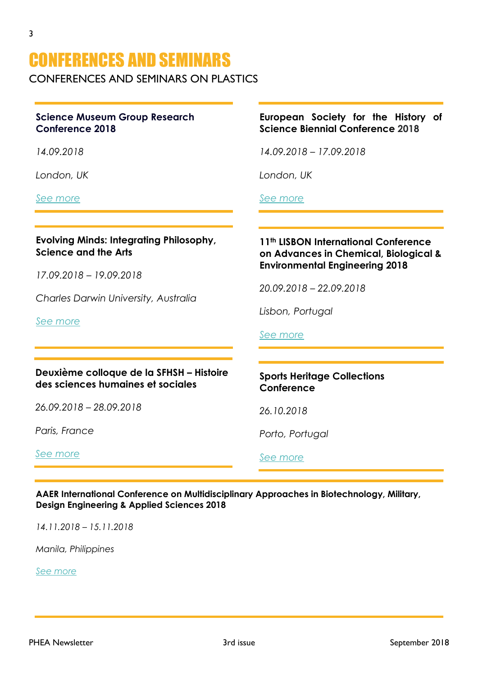## CONFERENCES AND SEMINARS

CONFERENCES AND SEMINARS ON PLASTICS

#### **Science Museum Group Research Conference 2018**

*14.09.2018*

*London, UK*

*[See more](https://www.sciencemuseum.org.uk/see-and-do/science-museum-group-research-conference-2018)*

#### **Evolving Minds: Integrating Philosophy, Science and the Arts**

*17.09.2018 – 19.09.2018*

*Charles Darwin University, Australia*

*[See more](https://evolvingminds.cdu.edu.au/)*

#### **Deuxième colloque de la SFHSH – Histoire des sciences humaines et sociales**

*26.09.2018 – 28.09.2018*

*Paris, France*

*[See more](https://sfhsh.hypotheses.org/1018)*

#### **European Society for the History of Science Biennial Conference 2018**

*14.09.2018 – 17.09.2018*

*London, UK*

*[See more](http://eshs2018.uk/)*

#### **11th LISBON International Conference on Advances in Chemical, Biological & Environmental Engineering 2018**

*20.09.2018 – 22.09.2018*

*Lisbon, Portugal*

#### *[See more](http://acbee.urebe.org/)*

#### **Sports Heritage Collections Conference**

*26.10.2018*

*Porto, Portugal*

*[See more](Flyer+Program.pdf)*

**AAER International Conference on Multidisciplinary Approaches in Biotechnology, Military, Design Engineering & Applied Sciences 2018**

*14.11.2018 – 15.11.2018*

*Manila, Philippines*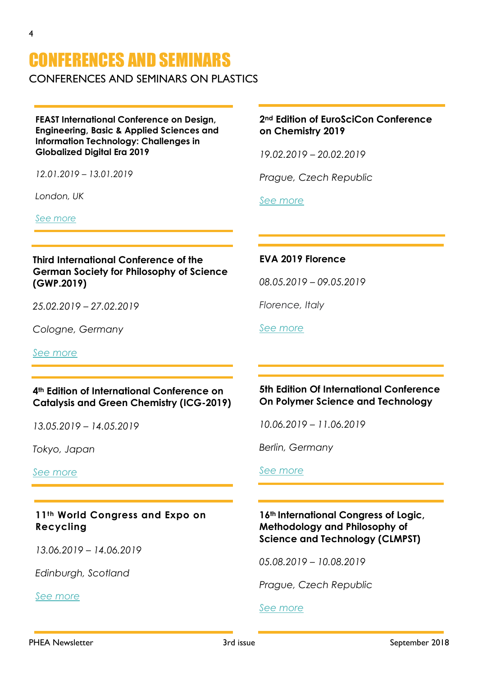# CONFERENCES AND SEMINARS

CONFERENCES AND SEMINARS ON PLASTICS

**FEAST International Conference on Design, Engineering, Basic & Applied Sciences and Information Technology: Challenges in Globalized Digital Era 2019**

*12.01.2019 – 13.01.2019*

*London, UK*

*[See more](http://forum-east.com/dea-january-2019-event/)*

#### **Third International Conference of the German Society for Philosophy of Science (GWP.2019)**

*25.02.2019 – 27.02.2019*

*Cologne, Germany*

*[See more](http://www.wissphil.de/gwp2019/)*

#### **4th Edition of International Conference on Catalysis and Green Chemistry (ICG-2019)**

*13.05.2019 – 14.05.2019*

*Tokyo, Japan*

*[See more](https://catalysis-conferences.com/)*

**11th World Congress and Expo on Recycling** 

*13.06.2019 – 14.06.2019*

*Edinburgh, Scotland*

*[See more](https://recycling.environmentalconferences.org/)*

#### **2nd Edition of EuroSciCon Conference on Chemistry 2019**

*19.02.2019 – 20.02.2019*

*Prague, Czech Republic*

*[See more](https://chemistry.euroscicon.com/)*

#### **EVA 2019 Florence**

*08.05.2019 – 09.05.2019*

*Florence, Italy*

*[See more](https://lesc.dinfo.unifi.it/sites/default/files/Documenti/EVA-2019.pdf)*

#### **5th Edition Of International Conference On Polymer Science and Technology**

*10.06.2019 – 11.06.2019*

*Berlin, Germany*

*[See more](https://polymerscience.euroscicon.com/)*

#### **16th International Congress of Logic, Methodology and Philosophy of Science and Technology (CLMPST)**

*05.08.2019 – 10.08.2019*

*Prague, Czech Republic*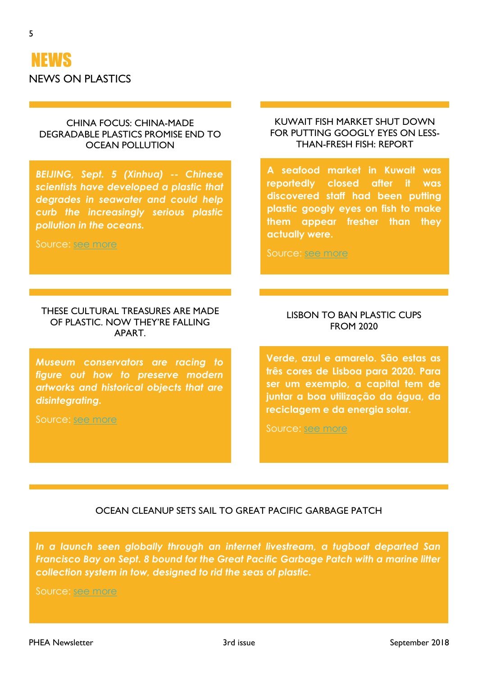

#### CHINA FOCUS: CHINA-MADE DEGRADABLE PLASTICS PROMISE END TO OCEAN POLLUTION

*BEIJING, Sept. 5 (Xinhua) -- Chinese scientists have developed a plastic that degrades in seawater and could help curb the increasingly serious plastic pollution in the oceans.*

Source: [see more](http://www.xinhuanet.com/english/2018-09/05/c_137446345.htm)

#### THESE CULTURAL TREASURES ARE MADE OF PLASTIC. NOW THEY'RE FALLING APART.

*Museum conservators are racing to figure out how to preserve modern artworks and historical objects that are disintegrating.*

Source: [see more](https://www.nytimes.com/2018/08/28/science/plastics-preservation-getty.html)

#### KUWAIT FISH MARKET SHUT DOWN FOR PUTTING GOOGLY EYES ON LESS-THAN-FRESH FISH: REPORT

**A seafood market in Kuwait was reportedly closed after it was discovered staff had been putting plastic googly eyes on fish to make them appear fresher than they actually were.**

Source: [see more](http://www.foxnews.com/food-drink/2018/09/04/kuwait-fish-market-shut-down-for-putting-googly-eyes-on-less-than-fresh-fish-report.html)

#### LISBON TO BAN PLASTIC CUPS FROM 2020

**Verde, azul e amarelo. São estas as três cores de Lisboa para 2020. Para ser um exemplo, a capital tem de juntar a boa utilização da água, da reciclagem e da energia solar.**

Source: [see more](https://www.dn.pt/cidades/interior/lisboa-vai-proibir-copos-de-plastico-a-partir-de-2020-9604305.html)

#### OCEAN CLEANUP SETS SAIL TO GREAT PACIFIC GARBAGE PATCH

*In a launch seen globally through an internet livestream, a tugboat departed San Francisco Bay on Sept. 8 bound for the Great Pacific Garbage Patch with a marine litter collection system in tow, designed to rid the seas of plastic.*

Source: [see more](http://www.plasticsnews.com/article/20180911/NEWS/180919974/ocean-cleanup-sets-sail-to-great-pacific-garbage-patch)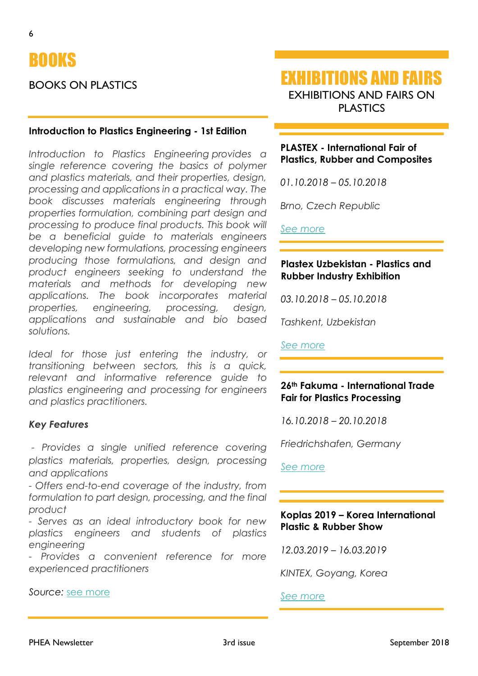

#### BOOKS ON PLASTICS

#### **Introduction to Plastics Engineering - 1st Edition**

*Introduction to Plastics Engineering provides a single reference covering the basics of polymer and plastics materials, and their properties, design, processing and applications in a practical way. The book discusses materials engineering through properties formulation, combining part design and processing to produce final products. This book will be a beneficial guide to materials engineers developing new formulations, processing engineers producing those formulations, and design and product engineers seeking to understand the materials and methods for developing new applications. The book incorporates material properties, engineering, processing, design, applications and sustainable and bio based solutions.*

*Ideal for those just entering the industry, or transitioning between sectors, this is a quick, relevant and informative reference guide to plastics engineering and processing for engineers and plastics practitioners.*

#### *Key Features*

*- Provides a single unified reference covering plastics materials, properties, design, processing and applications*

*- Offers end-to-end coverage of the industry, from formulation to part design, processing, and the final product*

*- Serves as an ideal introductory book for new plastics engineers and students of plastics engineering*

*- Provides a convenient reference for more experienced practitioners*

*Source:* [see more](https://www.elsevier.com/books/introduction-to-plastics-engineering/shrivastava/978-0-323-39500-7)

EXHIBITIONS AND FAIRS EXHIBITIONS AND FAIRS ON PLASTICS

#### **PLASTEX - International Fair of Plastics, Rubber and Composites**

*01.10.2018 – 05.10.2018*

*Brno, Czech Republic*

*See [more](https://www.bvv.cz/en/plastex/)*

#### **Plastex Uzbekistan - Plastics and Rubber Industry Exhibition**

*03.10.2018 – 05.10.2018*

*Tashkent, Uzbekistan*

*[See more](http://www.plastex.uz/)*

#### **26th Fakuma - International Trade Fair for Plastics Processing**

*16.10.2018 – 20.10.2018*

*Friedrichshafen, Germany*

*[See more](https://www.fakuma-messe.de/en/)*

#### **Koplas 2019 – Korea International Plastic & Rubber Show**

*12.03.2019 – 16.03.2019*

*KINTEX, Goyang, Korea*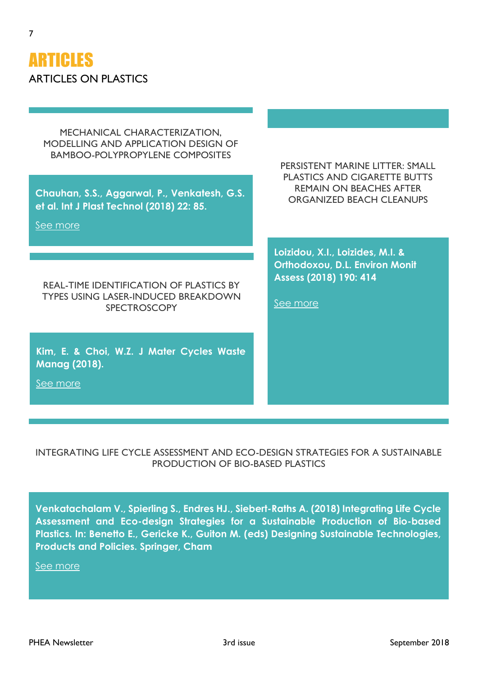

7

MECHANICAL CHARACTERIZATION, MODELLING AND APPLICATION DESIGN OF BAMBOO-POLYPROPYLENE COMPOSITES

**Chauhan, S.S., Aggarwal, P., Venkatesh, G.S. et al. Int J Plast Technol (2018) 22: 85.**

[See more](https://doi.org/10.1007/s12588-018-9204-0)

REAL-TIME IDENTIFICATION OF PLASTICS BY TYPES USING LASER-INDUCED BREAKDOWN **SPECTROSCOPY** 

**Kim, E. & Choi, W.Z. J Mater Cycles Waste Manag (2018).**

[See more](https://doi.org/10.1007/s10163-018-0780-z)

PERSISTENT MARINE LITTER: SMALL PLASTICS AND CIGARETTE BUTTS REMAIN ON BEACHES AFTER ORGANIZED BEACH CLEANUPS

**Loizidou, X.I., Loizides, M.I. & Orthodoxou, D.L. Environ Monit Assess (2018) 190: 414**

[See more](https://doi.org/10.1007/s10661-018-6798-9)

INTEGRATING LIFE CYCLE ASSESSMENT AND ECO-DESIGN STRATEGIES FOR A SUSTAINABLE PRODUCTION OF BIO-BASED PLASTICS

**Venkatachalam V., Spierling S., Endres HJ., Siebert-Raths A. (2018) Integrating Life Cycle Assessment and Eco-design Strategies for a Sustainable Production of Bio-based Plastics. In: Benetto E., Gericke K., Guiton M. (eds) Designing Sustainable Technologies, Products and Policies. Springer, Cham**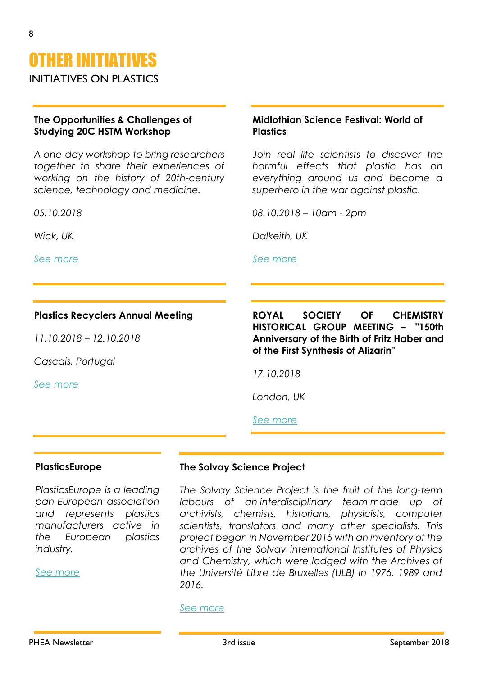INITIATIVES ON PLASTICS

#### **The Opportunities & Challenges of Studying 20C HSTM Workshop**

*A one-day workshop to bring researchers together to share their experiences of working on the history of 20th-century science, technology and medicine.*

*05.10.2018*

*Wick, UK*

*[See more](https://www.eventbrite.co.uk/e/the-opportunities-challenges-of-studying-20c-hstm-tickets-48755795898)*

#### **Plastics Recyclers Annual Meeting**

*11.10.2018 – 12.10.2018*

*Cascais, Portugal*

*See [more](https://www.plasticsrecyclersam.org/)*

**ROYAL SOCIETY OF CHEMISTRY HISTORICAL GROUP MEETING – "150th Anniversary of the Birth of Fritz Haber and of the First Synthesis of Alizarin"**

**Midlothian Science Festival: World of** 

*08.10.2018 – 10am - 2pm*

*Join real life scientists to discover the harmful effects that plastic has on everything around us and become a superhero in the war against plastic.*

*17.10.2018*

*Dalkeith, UK*

*[See more](https://midlothiansciencefestival.com/event/world-of-plastic/)*

**Plastics** 

*London, UK*

*[See more](http://www.sbcs.qmul.ac.uk/rschg/)*

#### **PlasticsEurope**

*PlasticsEurope is a leading pan-European association and represents plastics manufacturers active in the European plastics industry.*

*[See more](https://www.plasticseurope.org/en)*

#### **The Solvay Science Project**

*The Solvay Science Project is the fruit of the long-term labours of an interdisciplinary team made up of archivists, chemists, historians, physicists, computer scientists, translators and many other specialists. This project began in November 2015 with an inventory of the archives of the Solvay international Institutes of Physics and Chemistry, which were lodged with the Archives of the Université Libre de Bruxelles (ULB) in 1976, 1989 and 2016.*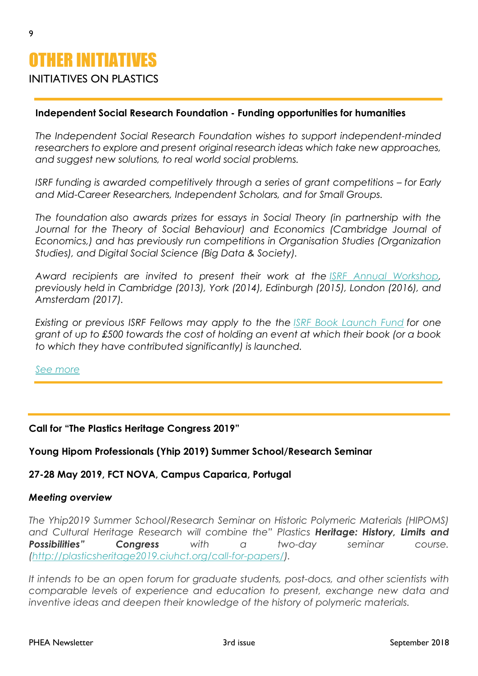# OTHER INITIATIVES

#### INITIATIVES ON PLASTICS

#### **Independent Social Research Foundation - Funding opportunities for humanities**

*The Independent Social Research Foundation wishes to support independent-minded researchers to explore and present original research ideas which take new approaches, and suggest new solutions, to real world social problems.*

*ISRF funding is awarded competitively through a series of grant competitions – for Early and Mid-Career Researchers, Independent Scholars, and for Small Groups.*

*The foundation also awards prizes for essays in Social Theory (in partnership with the*  Journal for the Theory of Social Behaviour) and Economics (Cambridge Journal of *Economics,) and has previously run competitions in Organisation Studies (Organization Studies), and Digital Social Science (Big Data & Society).*

*Award recipients are invited to present their work at the [ISRF Annual Workshop,](http://www.isrf.org/workshops/annual-workshop/) previously held in Cambridge (2013), York (2014), Edinburgh (2015), London (2016), and Amsterdam (2017).*

*Existing or previous ISRF Fellows may apply to the the [ISRF Book Launch Fund](http://isrf.org/funding-opportunities/book-launch-fund/) for one grant of up to £500 towards the cost of holding an event at which their book (or a book to which they have contributed significantly) is launched.*

*[See more](http://www.isrf.org/funding-opportunities/)*

#### **Call for "The Plastics Heritage Congress 2019"**

#### **Young Hipom Professionals (Yhip 2019) Summer School/Research Seminar**

#### **27-28 May 2019, FCT NOVA, Campus Caparica, Portugal**

#### *Meeting overview*

*The Yhip2019 Summer School/Research Seminar on Historic Polymeric Materials (HIPOMS) and Cultural Heritage Research will combine the" Plastics Heritage: History, Limits and Possibilities" Congress with a two-day seminar course. [\(http://plasticsheritage2019.ciuhct.org/call-for-papers/\)](http://plasticsheritage2019.ciuhct.org/call-for-papers/).*

*It intends to be an open forum for graduate students, post-docs, and other scientists with comparable levels of experience and education to present, exchange new data and inventive ideas and deepen their knowledge of the history of polymeric materials.*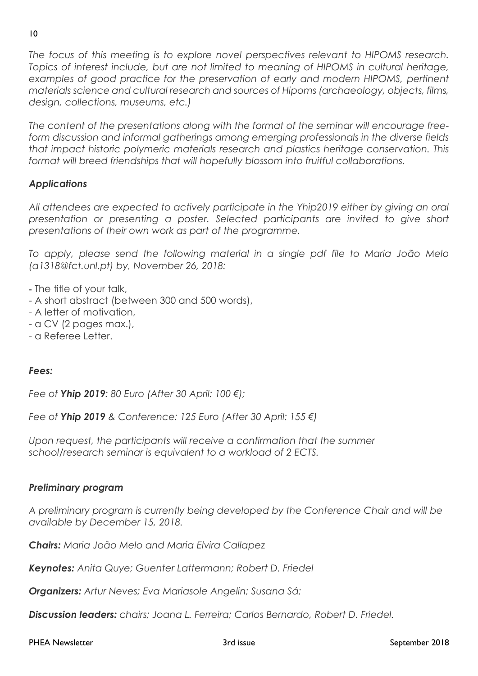*The focus of this meeting is to explore novel perspectives relevant to HIPOMS research. Topics of interest include, but are not limited to meaning of HIPOMS in cultural heritage, examples of good practice for the preservation of early and modern HIPOMS, pertinent materials science and cultural research and sources of Hipoms (archaeology, objects, films, design, collections, museums, etc.)*

*The content of the presentations along with the format of the seminar will encourage freeform discussion and informal gatherings among emerging professionals in the diverse fields that impact historic polymeric materials research and plastics heritage conservation. This format will breed friendships that will hopefully blossom into fruitful collaborations.*

#### *Applications*

*All attendees are expected to actively participate in the Yhip2019 either by giving an oral presentation or presenting a poster. Selected participants are invited to give short presentations of their own work as part of the programme.*

*To apply, please send the following material in a single pdf file to Maria João Melo (a1318@fct.unl.pt) by, November 26, 2018:*

- The title of your talk,

- A short abstract (between 300 and 500 words),
- A letter of motivation,
- a CV (2 pages max.),
- a Referee Letter.

#### *Fees:*

*Fee of Yhip 2019: 80 Euro (After 30 April: 100 €);*

*Fee of Yhip 2019 & Conference: 125 Euro (After 30 April: 155 €)*

*Upon request, the participants will receive a confirmation that the summer school/research seminar is equivalent to a workload of 2 ECTS.*

#### *Preliminary program*

*A preliminary program is currently being developed by the Conference Chair and will be available by December 15, 2018.*

*Chairs: Maria João Melo and Maria Elvira Callapez*

*Keynotes: Anita Quye; Guenter Lattermann; Robert D. Friedel*

*Organizers: Artur Neves; Eva Mariasole Angelin; Susana Sá;*

*Discussion leaders: chairs; Joana L. Ferreira; Carlos Bernardo, Robert D. Friedel.*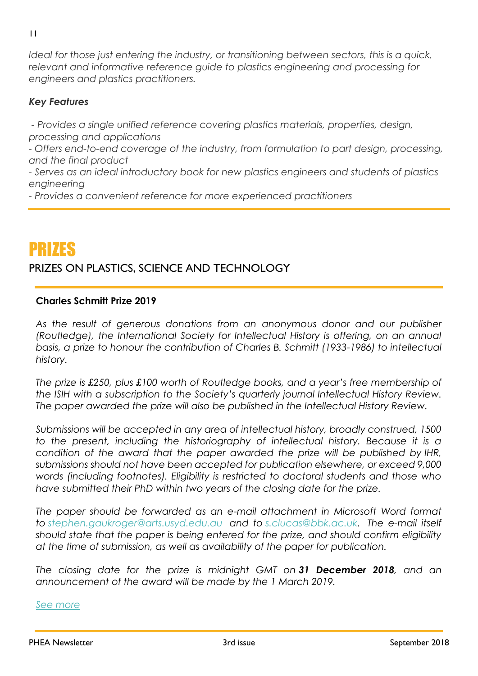*Ideal for those just entering the industry, or transitioning between sectors, this is a quick, relevant and informative reference guide to plastics engineering and processing for engineers and plastics practitioners.*

#### *Key Features*

*- Provides a single unified reference covering plastics materials, properties, design, processing and applications*

*- Offers end-to-end coverage of the industry, from formulation to part design, processing, and the final product*

*- Serves as an ideal introductory book for new plastics engineers and students of plastics engineering*

*- Provides a convenient reference for more experienced practitioners*

### PRIZES

### PRIZES ON PLASTICS, SCIENCE AND TECHNOLOGY

#### **Charles Schmitt Prize 2019**

As the result of generous donations from an anonymous donor and our publisher *(Routledge), the International Society for Intellectual History is offering, on an annual basis, a prize to honour the contribution of Charles B. Schmitt (1933-1986) to intellectual history.*

*The prize is £250, plus £100 worth of Routledge books, and a year's free membership of the ISIH with a subscription to the Society's quarterly journal Intellectual History Review. The paper awarded the prize will also be published in the Intellectual History Review.*

*Submissions will be accepted in any area of intellectual history, broadly construed, 1500 to the present, including the historiography of intellectual history. Because it is a condition of the award that the paper awarded the prize will be published by IHR, submissions should not have been accepted for publication elsewhere, or exceed 9,000 words (including footnotes). Eligibility is restricted to doctoral students and those who have submitted their PhD within two years of the closing date for the prize.*

*The paper should be forwarded as an e-mail attachment in Microsoft Word format to [stephen.gaukroger@arts.usyd.edu.au](mailto:stephen.gaukroger@arts.usyd.edu.au) and to [s.clucas@bbk.ac.uk.](mailto:s.clucas@bbk.ac.uk) The e-mail itself should state that the paper is being entered for the prize, and should confirm eligibility at the time of submission, as well as availability of the paper for publication.*

*The closing date for the prize is midnight GMT on 31 December 2018, and an announcement of the award will be made by the 1 March 2019.*

*[See more](http://isih.history.ox.ac.uk/?page_id=262)*

11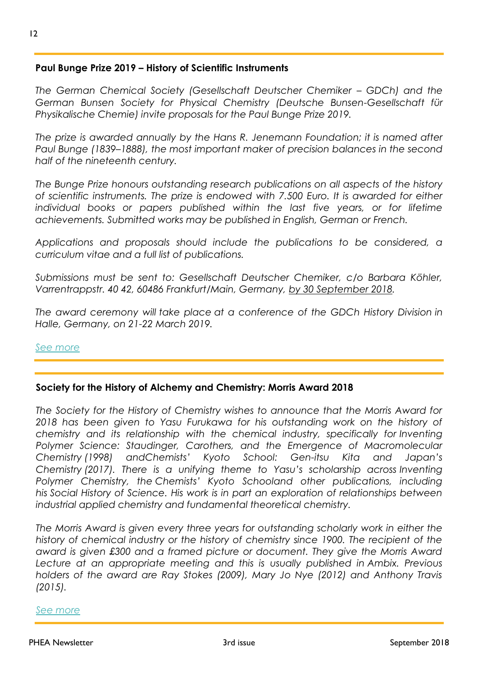#### **Paul Bunge Prize 2019 – History of Scientific Instruments**

*The German Chemical Society (Gesellschaft Deutscher Chemiker – GDCh) and the German Bunsen Society for Physical Chemistry (Deutsche Bunsen-Gesellschaft für Physikalische Chemie) invite proposals for the Paul Bunge Prize 2019.*

*The prize is awarded annually by the Hans R. Jenemann Foundation; it is named after Paul Bunge (1839–1888), the most important maker of precision balances in the second half of the nineteenth century.*

*The Bunge Prize honours outstanding research publications on all aspects of the history of scientific instruments. The prize is endowed with 7.500 Euro. It is awarded for either individual books or papers published within the last five years, or for lifetime achievements. Submitted works may be published in English, German or French.*

*Applications and proposals should include the publications to be considered, a curriculum vitae and a full list of publications.*

*Submissions must be sent to: Gesellschaft Deutscher Chemiker, c/o Barbara Köhler, Varrentrappstr. 40 42, 60486 Frankfurt/Main, Germany, by 30 September 2018.*

*The award ceremony will take place at a conference of the GDCh History Division in Halle, Germany, on 21-22 March 2019.*

#### *[See more](https://www.gdch.de/gdch/stiftungen/jenemann-stiftung.html)*

#### **Society for the History of Alchemy and Chemistry: Morris Award 2018**

*The Society for the History of Chemistry wishes to announce that the Morris Award for 2018 has been given to Yasu Furukawa for his outstanding work on the history of chemistry and its relationship with the chemical industry, specifically for Inventing*  Polymer Science: Staudinger, Carothers, and the Emergence of Macromolecular *Chemistry (1998) andChemists' Kyoto School: Gen-itsu Kita and Japan's Chemistry (2017). There is a unifying theme to Yasu's scholarship across Inventing Polymer Chemistry, the Chemists' Kyoto Schooland other publications, including his Social History of Science. His work is in part an exploration of relationships between industrial applied chemistry and fundamental theoretical chemistry.*

*The Morris Award is given every three years for outstanding scholarly work in either the history of chemical industry or the history of chemistry since 1900. The recipient of the award is given £300 and a framed picture or document. They give the Morris Award Lecture at an appropriate meeting and this is usually published in Ambix. Previous holders of the award are Ray Stokes (2009), Mary Jo Nye (2012) and Anthony Travis (2015).*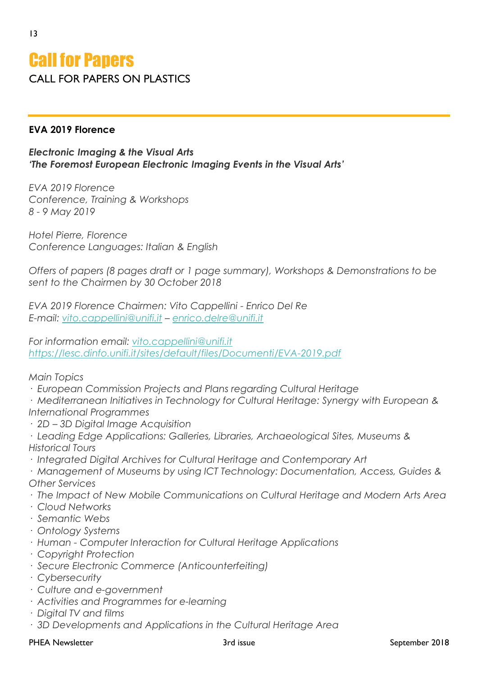#### **EVA 2019 Florence**

13

#### *Electronic Imaging & the Visual Arts 'The Foremost European Electronic Imaging Events in the Visual Arts'*

*EVA 2019 Florence Conference, Training & Workshops 8 - 9 May 2019*

*Hotel Pierre, Florence Conference Languages: Italian & English*

*Offers of papers (8 pages draft or 1 page summary), Workshops & Demonstrations to be sent to the Chairmen by 30 October 2018*

*EVA 2019 Florence Chairmen: Vito Cappellini - Enrico Del Re E-mail: [vito.cappellini@unifi.it](mailto:vito.cappellini@unifi.it) – [enrico.delre@unifi.it](mailto:enrico.delre@unifi.it)*

*For information email: [vito.cappellini@unifi.it](mailto:vito.cappellini@unifi.it) <https://lesc.dinfo.unifi.it/sites/default/files/Documenti/EVA-2019.pdf>*

#### *Main Topics*

*· European Commission Projects and Plans regarding Cultural Heritage*

*· Mediterranean Initiatives in Technology for Cultural Heritage: Synergy with European & International Programmes*

- *· 2D – 3D Digital Image Acquisition*
- *· Leading Edge Applications: Galleries, Libraries, Archaeological Sites, Museums & Historical Tours*
- *· Integrated Digital Archives for Cultural Heritage and Contemporary Art*
- *· Management of Museums by using ICT Technology: Documentation, Access, Guides & Other Services*
- *· The Impact of New Mobile Communications on Cultural Heritage and Modern Arts Area*
- *· Cloud Networks*
- *· Semantic Webs*
- *· Ontology Systems*
- *· Human - Computer Interaction for Cultural Heritage Applications*
- *· Copyright Protection*
- *· Secure Electronic Commerce (Anticounterfeiting)*
- *· Cybersecurity*
- *· Culture and e-government*
- *· Activities and Programmes for e-learning*
- *· Digital TV and films*
- *· 3D Developments and Applications in the Cultural Heritage Area*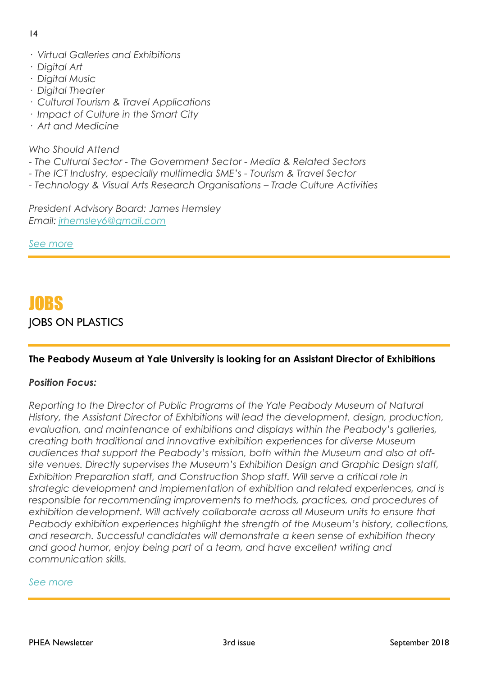#### 14

- *· Virtual Galleries and Exhibitions*
- *· Digital Art*
- *· Digital Music*
- *· Digital Theater*
- *· Cultural Tourism & Travel Applications*
- *· Impact of Culture in the Smart City*
- *· Art and Medicine*

#### *Who Should Attend*

- *- The Cultural Sector - The Government Sector - Media & Related Sectors*
- *- The ICT Industry, especially multimedia SME's - Tourism & Travel Sector*
- *- Technology & Visual Arts Research Organisations – Trade Culture Activities*

*President Advisory Board: James Hemsley Email: [jrhemsley6@gmail.com](mailto:jrhemsley6@gmail.com)*

*[See more](https://lesc.dinfo.unifi.it/sites/default/files/Documenti/EVA-2019.pdf)*

### JOBS JOBS ON PLASTICS

#### **The Peabody Museum at Yale University is looking for an Assistant Director of Exhibitions**

#### *Position Focus:*

*Reporting to the Director of Public Programs of the Yale Peabody Museum of Natural History, the Assistant Director of Exhibitions will lead the development, design, production, evaluation, and maintenance of exhibitions and displays within the Peabody's galleries, creating both traditional and innovative exhibition experiences for diverse Museum audiences that support the Peabody's mission, both within the Museum and also at offsite venues. Directly supervises the Museum's Exhibition Design and Graphic Design staff, Exhibition Preparation staff, and Construction Shop staff. Will serve a critical role in strategic development and implementation of exhibition and related experiences, and is responsible for recommending improvements to methods, practices, and procedures of exhibition development. Will actively collaborate across all Museum units to ensure that Peabody exhibition experiences highlight the strength of the Museum's history, collections, and research. Successful candidates will demonstrate a keen sense of exhibition theory and good humor, enjoy being part of a team, and have excellent writing and communication skills.*